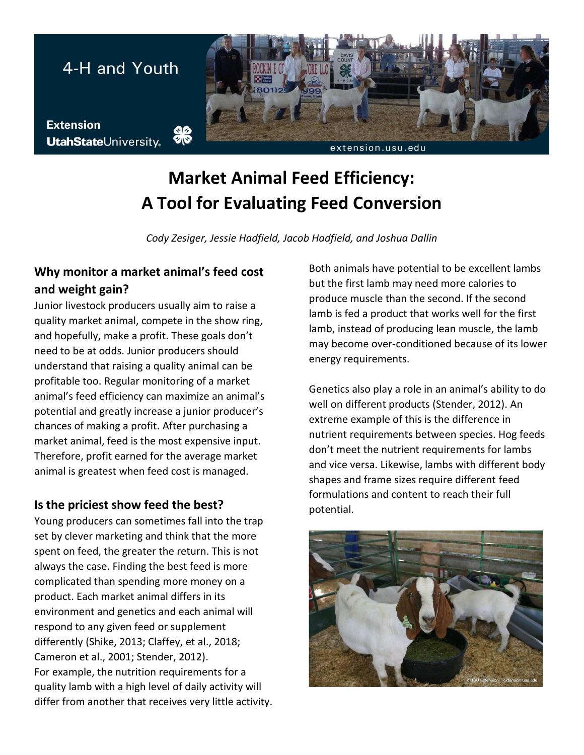

# **Market Animal Feed Efficiency: A Tool for Evaluating Feed Conversion**

*Cody Zesiger, Jessie Hadfield, Jacob Hadfield, and Joshua Dallin*

## **Why monitor a market animal's feed cost and weight gain?**

Junior livestock producers usually aim to raise a quality market animal, compete in the show ring, and hopefully, make a profit. These goals don't need to be at odds. Junior producers should understand that raising a quality animal can be profitable too. Regular monitoring of a market animal's feed efficiency can maximize an animal's potential and greatly increase a junior producer's chances of making a profit. After purchasing a market animal, feed is the most expensive input. Therefore, profit earned for the average market animal is greatest when feed cost is managed.

#### **Is the priciest show feed the best?**

Young producers can sometimes fall into the trap set by clever marketing and think that the more spent on feed, the greater the return. This is not always the case. Finding the best feed is more complicated than spending more money on a product. Each market animal differs in its environment and genetics and each animal will respond to any given feed or supplement differently (Shike, 2013; Claffey, et al., 2018; Cameron et al., 2001; Stender, 2012). For example, the nutrition requirements for a quality lamb with a high level of daily activity will differ from another that receives very little activity. Both animals have potential to be excellent lambs but the first lamb may need more calories to produce muscle than the second. If the second lamb is fed a product that works well for the first lamb, instead of producing lean muscle, the lamb may become over-conditioned because of its lower energy requirements.

Genetics also play a role in an animal's ability to do well on different products (Stender, 2012). An extreme example of this is the difference in nutrient requirements between species. Hog feeds don't meet the nutrient requirements for lambs and vice versa. Likewise, lambs with different body shapes and frame sizes require different feed formulations and content to reach their full potential.

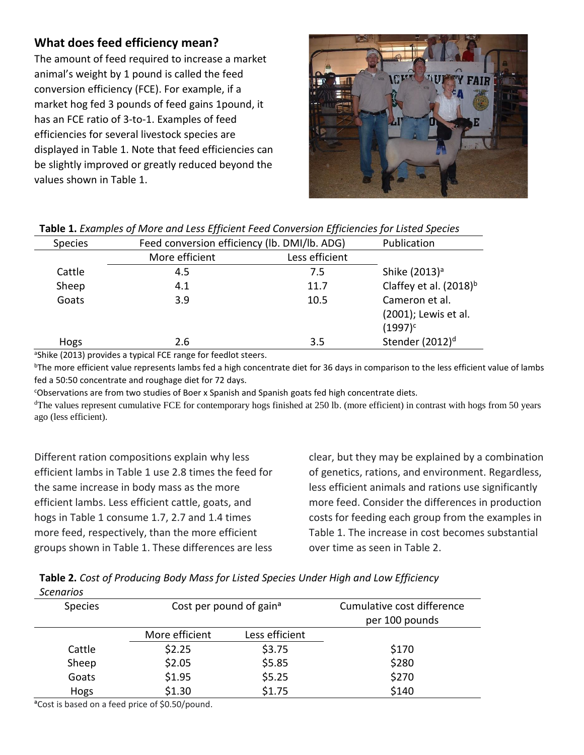### **What does feed efficiency mean?**

The amount of feed required to increase a market animal's weight by 1 pound is called the feed conversion efficiency (FCE). For example, if a market hog fed 3 pounds of feed gains 1pound, it has an FCE ratio of 3-to-1. Examples of feed efficiencies for several livestock species are displayed in Table 1. Note that feed efficiencies can be slightly improved or greatly reduced beyond the values shown in Table 1.



| <b>Table 1.</b> Examples of iviore and Less Efficient Feed Conversion Efficiencies for Listed Species |                                              |                |                             |  |
|-------------------------------------------------------------------------------------------------------|----------------------------------------------|----------------|-----------------------------|--|
| <b>Species</b>                                                                                        | Feed conversion efficiency (lb. DMI/lb. ADG) |                | Publication                 |  |
|                                                                                                       | More efficient                               | Less efficient |                             |  |
| Cattle                                                                                                | 4.5                                          | 7.5            | Shike (2013) <sup>a</sup>   |  |
| Sheep                                                                                                 | 4.1                                          | 11.7           | Claffey et al. $(2018)^{b}$ |  |
| Goats                                                                                                 | 3.9                                          | 10.5           | Cameron et al.              |  |
|                                                                                                       |                                              |                | (2001); Lewis et al.        |  |
|                                                                                                       |                                              |                | $(1997)^c$                  |  |
| Hogs                                                                                                  | 2.6                                          | 3.5            | Stender (2012) <sup>d</sup> |  |

| Table 1. Examples of More and Less Efficient Feed Conversion Efficiencies for Listed Species |  |
|----------------------------------------------------------------------------------------------|--|
|----------------------------------------------------------------------------------------------|--|

<sup>a</sup>Shike (2013) provides a typical FCE range for feedlot steers.

<sup>b</sup>The more efficient value represents lambs fed a high concentrate diet for 36 days in comparison to the less efficient value of lambs fed a 50:50 concentrate and roughage diet for 72 days.

<sup>c</sup>Observations are from two studies of Boer x Spanish and Spanish goats fed high concentrate diets.

<sup>d</sup>The values represent cumulative FCE for contemporary hogs finished at 250 lb. (more efficient) in contrast with hogs from 50 years ago (less efficient).

Different ration compositions explain why less efficient lambs in Table 1 use 2.8 times the feed for the same increase in body mass as the more efficient lambs. Less efficient cattle, goats, and hogs in Table 1 consume 1.7, 2.7 and 1.4 times more feed, respectively, than the more efficient groups shown in Table 1. These differences are less clear, but they may be explained by a combination of genetics, rations, and environment. Regardless, less efficient animals and rations use significantly more feed. Consider the differences in production costs for feeding each group from the examples in Table 1. The increase in cost becomes substantial over time as seen in Table 2.

**Table 2.** *Cost of Producing Body Mass for Listed Species Under High and Low Efficiency Scenarios*

| <b>Species</b> | Cost per pound of gain <sup>a</sup> |                | Cumulative cost difference |
|----------------|-------------------------------------|----------------|----------------------------|
|                |                                     |                | per 100 pounds             |
|                | More efficient                      | Less efficient |                            |
| Cattle         | \$2.25                              | \$3.75         | \$170                      |
| Sheep          | \$2.05                              | \$5.85         | \$280                      |
| Goats          | \$1.95                              | \$5.25         | \$270                      |
| Hogs           | \$1.30                              | \$1.75         | \$140                      |

**<sup>a</sup>**Cost is based on a feed price of \$0.50/pound.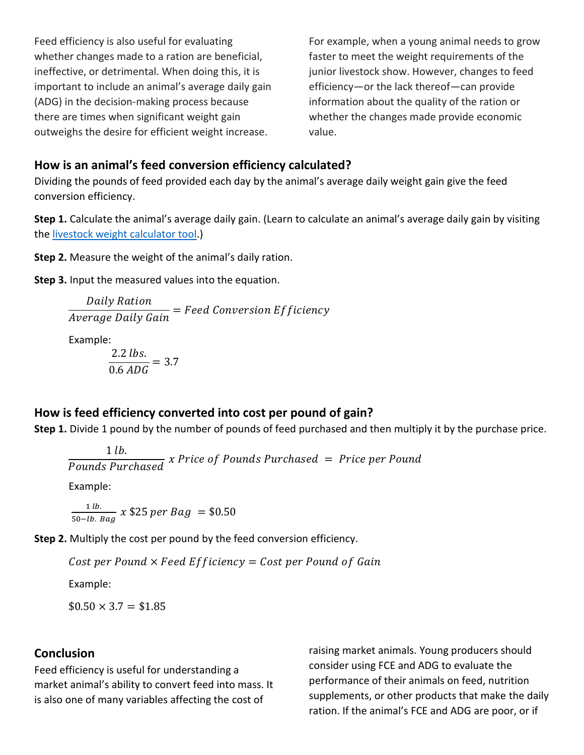Feed efficiency is also useful for evaluating whether changes made to a ration are beneficial, ineffective, or detrimental. When doing this, it is important to include an animal's average daily gain (ADG) in the decision-making process because there are times when significant weight gain outweighs the desire for efficient weight increase.

For example, when a young animal needs to grow faster to meet the weight requirements of the junior livestock show. However, changes to feed efficiency—or the lack thereof—can provide information about the quality of the ration or whether the changes made provide economic value.

#### **How is an animal's feed conversion efficiency calculated?**

Dividing the pounds of feed provided each day by the animal's average daily weight gain give the feed conversion efficiency.

**Step 1.** Calculate the animal's average daily gain. (Learn to calculate an animal's average daily gain by visiting the [livestock weight calculator tool.](https://extension.usu.edu/4H-Livestock-Calculator/index))

**Step 2.** Measure the weight of the animal's daily ration.

**Step 3.** Input the measured values into the equation.

 <sup>=</sup>

Example:

$$
\frac{2.2 \, lbs.}{0.6 \, ADG} = 3.7
$$

## **How is feed efficiency converted into cost per pound of gain?**

**Step 1.** Divide 1 pound by the number of pounds of feed purchased and then multiply it by the purchase price.

$$
1 lb.
$$

 $\frac{1}{10}$   $\frac{1}{100}$   $\frac{1}{100}$   $\frac{1}{100}$   $\frac{1}{100}$   $\frac{1}{100}$   $\frac{1}{100}$   $\frac{1}{100}$   $\frac{1}{100}$   $\frac{1}{100}$   $\frac{1}{100}$   $\frac{1}{100}$   $\frac{1}{100}$   $\frac{1}{100}$   $\frac{1}{100}$   $\frac{1}{100}$   $\frac{1}{100}$   $\frac{1}{100}$   $\frac{1}{$ 

Example:

 $1 lb.$  $\frac{1}{50-lb.$  Bag x \$25 per Bag = \$0.50

**Step 2.** Multiply the cost per pound by the feed conversion efficiency.

Cost per Pound  $\times$  Feed Efficiency = Cost per Pound of Gain

Example:

 $$0.50 \times 3.7 = $1.85$ 

#### **Conclusion**

Feed efficiency is useful for understanding a market animal's ability to convert feed into mass. It is also one of many variables affecting the cost of

raising market animals. Young producers should consider using FCE and ADG to evaluate the performance of their animals on feed, nutrition supplements, or other products that make the daily ration. If the animal's FCE and ADG are poor, or if